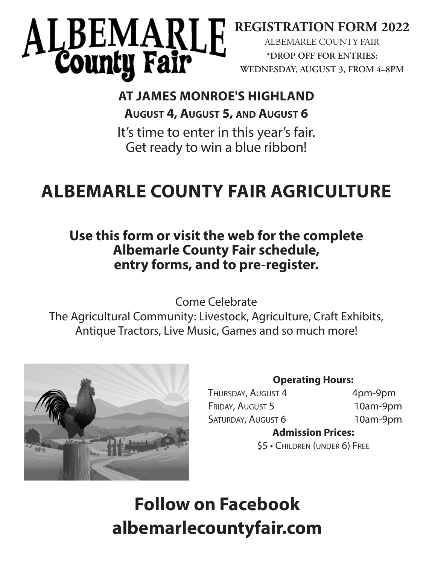# LBEMARLE<br>County Fair

# **REGISTRATION FORM 2022**

ALBEMARLE COUNTY FAIR **\*DROP OFF FOR ENTRIES: WEDNESDAY, AUGUST 3, FROM 4–8PM**

# **AT JAMES MONROE'S HIGHLAND August 4, August 5, and August 6**

It's time to enter in this year's fair. Get ready to win a blue ribbon!

# **ALBEMARLE COUNTY FAIR AGRICULTURE**

# **Use this form or visit the web for the complete Albemarle County Fair schedule, entry forms, and to pre-register.**

Come Celebrate

The Agricultural Community: Livestock, Agriculture, Craft Exhibits, Antique Tractors, Live Music, Games and so much more!



# **Operating Hours:**

THURSDAY, AUGUST 4 4pm-9pm FRIDAY, AUGUST 5 10am-9pm SATURDAY, AUGUST 6 10am-9pm

# **Admission Prices:**

\$5 • Children (under 6) Free

# **Follow on Facebook albemarlecountyfair.com**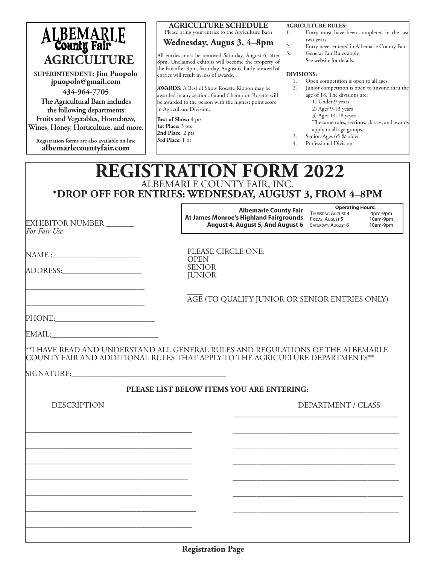| ALBEMARLE<br>County Fair<br><b>AGRICULTURE</b><br><b>SUPERINTENDENT: Jim Puopolo</b><br>jpuopolo@gmail.com<br>434-964-7705<br>The Agricultural Barn includes<br>the following departments:<br>Fruits and Vegetables, Homebrew,<br>Wines, Honey, Horticulture, and more.<br>Registration forms are also available on line<br>albemarlecountyfair.com | <b>AGRICULTURE SCHEDULE</b><br>Please bring your entries to the Agriculture Barn<br>Wednesday, Augus 3, 4–8pm<br>All entries must be removed Saturday, August 6, after<br>8pm. Unclaimed exhibits will become the property of<br>the Fair after 9pm, Saturday, August 6. Early removal of<br>entries will result in loss of awards.<br><b>AWARDS:</b> A Best of Show Rosette Ribbon may be<br>awarded in any section. Grand Champion Rosette will<br>be awarded to the person with the highest point score<br>in Agriculture Division.<br>Best of Show: 4 pts<br>1st Place: 3 pts<br>2nd Place: 2 pts<br>3rd Place: 1 pt | <b>AGRICULTURE RULES:</b><br>Entry must have been completed in the last<br>1.<br>two years.<br>2.<br>Entry never entered in Albemarle County Fair.<br>General Fair Rules apply.<br>3.<br>See website for details.<br><b>DIVISIONS:</b><br>Open competition is open to all ages.<br>1.<br>Junior competition is open to anyone thru the<br>2.<br>age of 18. The divisions are:<br>1) Under 9 years<br>2) Ages 9-13 years<br>3) Ages 14-18 years<br>The same rules, sections, classes, and awards<br>apply to all age groups.<br>Senior, Ages 65 & older.<br>3.<br>Professional Division.<br>4. |
|-----------------------------------------------------------------------------------------------------------------------------------------------------------------------------------------------------------------------------------------------------------------------------------------------------------------------------------------------------|--------------------------------------------------------------------------------------------------------------------------------------------------------------------------------------------------------------------------------------------------------------------------------------------------------------------------------------------------------------------------------------------------------------------------------------------------------------------------------------------------------------------------------------------------------------------------------------------------------------------------|-----------------------------------------------------------------------------------------------------------------------------------------------------------------------------------------------------------------------------------------------------------------------------------------------------------------------------------------------------------------------------------------------------------------------------------------------------------------------------------------------------------------------------------------------------------------------------------------------|
|                                                                                                                                                                                                                                                                                                                                                     | <b>REGISTRATION FORM 2022</b><br>ALBEMARLE COUNTY FAIR, INC.<br>*DROP OFF FOR ENTRIES: WEDNESDAY, AUGUST 3, FROM 4-8PM                                                                                                                                                                                                                                                                                                                                                                                                                                                                                                   |                                                                                                                                                                                                                                                                                                                                                                                                                                                                                                                                                                                               |
| EXHIBITOR NUMBER ______<br>For Fair Use                                                                                                                                                                                                                                                                                                             | <b>Albemarle County Fair</b><br>At James Monroe's Highland Fairgrounds<br><b>August 4, August 5, And August 6</b>                                                                                                                                                                                                                                                                                                                                                                                                                                                                                                        | <b>Operating Hours:</b><br>THURSDAY, AUGUST 4<br>4pm-9pm<br>10am-9pm<br>FRIDAY, AUGUST 5<br>10am-9pm<br>SATURDAY, AUGUST 6                                                                                                                                                                                                                                                                                                                                                                                                                                                                    |
| ADDRESS:                                                                                                                                                                                                                                                                                                                                            | PLEASE CIRCLE ONE:<br><b>OPEN</b><br><b>SENIOR</b><br><b>JUNIOR</b>                                                                                                                                                                                                                                                                                                                                                                                                                                                                                                                                                      |                                                                                                                                                                                                                                                                                                                                                                                                                                                                                                                                                                                               |
|                                                                                                                                                                                                                                                                                                                                                     |                                                                                                                                                                                                                                                                                                                                                                                                                                                                                                                                                                                                                          | AGE (TO QUALIFY JUNIOR OR SENIOR ENTRIES ONLY)                                                                                                                                                                                                                                                                                                                                                                                                                                                                                                                                                |
| PHONE:<br>EMAIL: EMAIL:                                                                                                                                                                                                                                                                                                                             |                                                                                                                                                                                                                                                                                                                                                                                                                                                                                                                                                                                                                          |                                                                                                                                                                                                                                                                                                                                                                                                                                                                                                                                                                                               |
|                                                                                                                                                                                                                                                                                                                                                     | **I HAVE READ AND UNDERSTAND ALL GENERAL RULES AND REGULATIONS OF THE ALBEMARLE<br>COUNTY FAIR AND ADDITIONAL RULES THAT APPLY TO THE AGRICULTURE DEPARTMENTS**                                                                                                                                                                                                                                                                                                                                                                                                                                                          |                                                                                                                                                                                                                                                                                                                                                                                                                                                                                                                                                                                               |
|                                                                                                                                                                                                                                                                                                                                                     |                                                                                                                                                                                                                                                                                                                                                                                                                                                                                                                                                                                                                          |                                                                                                                                                                                                                                                                                                                                                                                                                                                                                                                                                                                               |
|                                                                                                                                                                                                                                                                                                                                                     | PLEASE LIST BELOW ITEMS YOU ARE ENTERING:                                                                                                                                                                                                                                                                                                                                                                                                                                                                                                                                                                                |                                                                                                                                                                                                                                                                                                                                                                                                                                                                                                                                                                                               |
| <b>DESCRIPTION</b>                                                                                                                                                                                                                                                                                                                                  |                                                                                                                                                                                                                                                                                                                                                                                                                                                                                                                                                                                                                          | DEPARTMENT / CLASS                                                                                                                                                                                                                                                                                                                                                                                                                                                                                                                                                                            |
|                                                                                                                                                                                                                                                                                                                                                     |                                                                                                                                                                                                                                                                                                                                                                                                                                                                                                                                                                                                                          |                                                                                                                                                                                                                                                                                                                                                                                                                                                                                                                                                                                               |

\_\_\_\_\_\_\_\_\_\_\_\_\_\_\_\_\_\_\_\_\_\_\_\_\_\_\_\_\_\_\_\_\_\_\_\_\_\_\_\_\_

\_\_\_\_\_\_\_\_\_\_\_\_\_\_\_\_\_\_\_\_\_\_\_\_\_\_\_\_\_\_\_\_\_\_\_\_\_\_\_\_\_\_

\_\_\_\_\_\_\_\_\_\_\_\_\_\_\_\_\_\_\_\_\_\_\_\_\_\_\_\_\_\_\_\_\_\_\_\_\_\_\_\_\_\_\_

\_\_\_\_\_\_\_\_\_\_\_\_\_\_\_\_\_\_\_\_\_\_\_\_\_\_\_\_\_\_\_\_\_\_\_\_\_\_\_\_\_\_

\_\_\_\_\_\_\_\_\_\_\_\_\_\_\_\_\_\_\_\_\_\_\_\_\_\_\_\_\_\_\_\_\_\_\_\_\_\_\_\_\_\_

\_\_\_\_\_\_\_\_\_\_\_\_\_\_\_\_\_\_\_\_\_\_\_\_\_\_\_\_\_\_\_\_\_\_\_\_\_\_\_\_\_

\_\_\_\_\_\_\_\_\_\_\_\_\_\_\_\_\_\_\_\_\_\_\_\_\_\_\_\_\_\_\_\_\_\_\_\_\_\_\_\_\_\_

\_\_\_\_\_\_\_\_\_\_\_\_\_\_\_\_\_\_\_\_\_\_\_\_\_\_\_\_\_\_\_\_\_\_\_\_\_\_\_\_\_\_\_

\_\_\_\_\_\_\_\_\_\_\_\_\_\_\_\_\_\_\_\_\_\_\_\_\_\_\_\_\_\_\_\_\_\_\_\_\_\_\_\_\_\_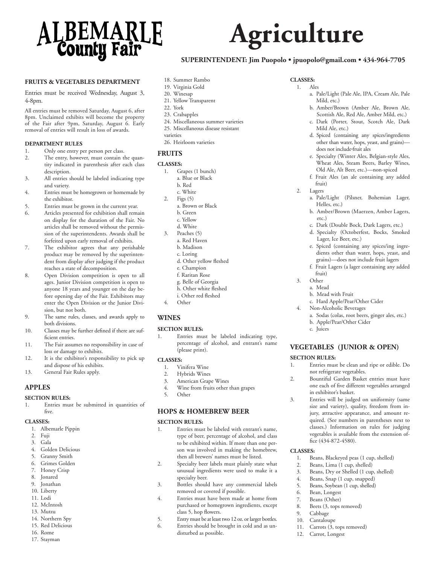

#### **FRUITS & VEGETABLES DEPARTMENT**

Entries must be received Wednesday, August 3, 4-8pm.

All entries must be removed Saturday, August 6, after 8pm. Unclaimed exhibits will become the property of the Fair after 9pm, Saturday, August 6. Early removal of entries will result in loss of awards.

#### **DEPARTMENT RULES**

- 1. Only one entry per person per class.
- 2. The entry, however, must contain the quantity indicated in parenthesis after each class description.
- 3. All entries should be labeled indicating type and variety.
- 4. Entries must be homegrown or homemade by the exhibitor.
- 5. Entries must be grown in the current year.
- 6. Articles presented for exhibition shall remain on display for the duration of the Fair. No articles shall be removed without the permission of the superintendents. Awards shall be forfeited upon early removal of exhibits.
- 7. The exhibitor agrees that any perishable product may be removed by the superintendent from display after judging if the product reaches a state of decomposition.
- 8. Open Division competition is open to all ages. Junior Division competition is open to anyone 18 years and younger on the day before opening day of the Fair. Exhibitors may enter the Open Division or the Junior Division, but not both.
- 9. The same rules, classes, and awards apply to both divisions.
- 10. Classes may be further defined if there are sufficient entries.
- 11. The Fair assumes no responsibility in case of loss or damage to exhibits.
- 12. It is the exhibitor's responsibility to pick up and dispose of his exhibits.
- 13. General Fair Rules apply.

#### **APPLES**

#### **SECTION RULES:**

1. Entries must be submitted in quantities of five.

#### **CLASSES:**

- 1. Albemarle Pippin
- 2. Fuji
- 3. Gala
- 4. Golden Delicious
- 5. Granny Smith
- 6. Grimes Golden
- 7. Honey Crisp
- 8. Jonared
- 9. Jonathan
- 10. Liberty
- 11. Lodi 12. McIntosh
- 13. Mutzu
- 14. Northern Spy
- 15. Red Delicious
- 16. Rome
- 17. Stayman
- 18. Summer Rambo
- 19. Virginia Gold 20. Winesap
- 21. Yellow Transparent
- 22. York
- 23. Crabapples
- 24. Miscellaneous summer varieties
- 25. Miscellaneous disease resistant
- varieties
- 26. Heirloom varieties

#### **FRUITS**

#### **CLASSES:**

- 1. Grapes (1 bunch)
	- a. Blue or Black b. Red
- c. White
- 2. Figs (5)
	- a. Brown or Black
	- b. Green
	- c. Yellow
	- d. White
- 3. Peaches (5)
- a. Red Haven b. Madison
	- c. Loring
	- d. Other yellow fleshed
	- e. Champion
	- f. Raritan Rose
- g. Belle of Georgia
- h. Other white fleshed
- i. Other red fleshed
- 4. Other

#### **WINES**

#### **SECTION RULES:**

Entries must be labeled indicating type, percentage of alcohol, and entrant's name (please print).

#### **CLASSES:**

- 1. Vinifera Wine
- 2. Hybrids Wines
- 3. American Grape Wines<br>4. Wine from fruits other
- Wine from fruits other than grapes
- 5. Other

#### **HOPS & HOMEBREW BEER**

#### **SECTION RULES:**

- 1. Entries must be labeled with entrant's name, type of beer, percentage of alcohol, and class to be exhibited within. If more than one person was involved in making the homebrew, then all brewers' names must be listed.
- 2. Specialty beer labels must plainly state what unusual ingredients were used to make it a specialty beer.
- 3. Bottles should have any commercial labels removed or covered if possible.
- 4. Entries must have been made at home from purchased or homegrown ingredients, except class 5, hop flowers.
- 5. Entry must be at least two 12 oz. or larger bottles.
- 6. Entries should be brought in cold and as undisturbed as possible.

#### **CLASSES:**

**Agriculture**

**SUPERINTENDENT: Jim Puopolo • jpuopolo@gmail.com • 434-964-7705**

- 1. Ales
	- a. Pale/Light (Pale Ale, IPA, Cream Ale, Pale Mild, etc.)
	- b. Amber/Brown (Amber Ale, Brown Ale, Scottish Ale, Red Ale, Amber Mild, etc.)
	- c. Dark (Porter, Stout, Scotch Ale, Dark Mild Ale, etc.)
	- d. Spiced (containing any spices/ingredients other than water, hops, yeast, and grains) does not include fruit ales
	- e. Specialty (Winter Ales, Belgian-style Ales, Wheat Ales, Steam Beers, Barley Wines, Old Ale, Alt Beer, etc.)—non-spiced
	- f. Fruit Ales (an ale containing any added fruit)
- 2. Lagers
	- a. Pale/Light (Pilsner, Bohemian Lager, Helles, etc.)
	- b. Amber/Brown (Maerzen, Amber Lagers, etc.)
	- c. Dark (Double Bock, Dark Lagers, etc.)
	- d. Specialty (Octoberfest, Bocks, Smoked Lager, Ice Beer, etc.)
	- e. Spiced (containing any spices/ing ingredients other than water, hops, yeast, and grains)—does not include fruit lagers
	- f. Fruit Lagers (a lager containing any added fruit)

a. Sodas (colas, root beers, ginger ales, etc.)

3. Other a. Mead

c. Juices

**SECTION RULES:**

**CLASSES:**

b. Mead with Fruit

in exhibitor's basket.

fice (434-872-4580).

11. Carrots (3, tops removed) 12. Carrot, Longest

6. Bean, Longest 7. Beans (Other) 8. Beets (3, tops removed)

9. Cabbage 10. Cantaloupe

1. Beans, Blackeyed peas (1 cup, shelled) 2. Beans, Lima (1 cup, shelled) 3. Beans, Dry or Shelled (1 cup, shelled) 4. Beans, Snap (1 cup, snapped) 5. Beans, Soybean (1 cup, shelled)

c. Hard Apple/Pear/Other Cider Non-Alcoholic Beverages

b. Apple/Pear/Other Cider

**VEGETABLES (JUNIOR & OPEN)**

1. Entries must be clean and ripe or edible. Do not refrigerate vegetables. 2. Bountiful Garden Basket entries must have one each of five different vegetables arranged

3. Entries will be judged on uniformity (same size and variety), quality, freedom from injury, attractive appearance, and amount required. (See numbers in parentheses next to classes.) Information on rules for judging vegetables is available from the extension of-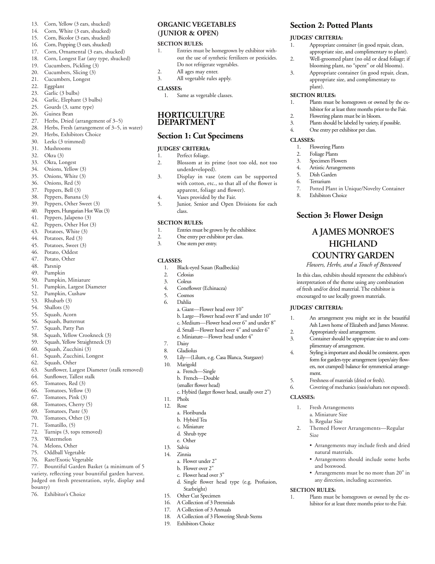- 13. Corn, Yellow (3 ears, shucked)
- 14. Corn, White (3 ears, shucked)
- 15. Corn, Bicolor (3 ears, shucked)
- 16. Corn, Popping (3 ears, shucked)
- 17. Corn, Ornamental (3 ears, shucked)
- 18. Corn, Longest Ear (any type, shucked)
- 19. Cucumbers, Pickling (3)<br>20. Cucumbers, Slicing (3)
- Cucumbers, Slicing (3)
- 21. Cucumbers, Longest
- 22. Eggplant
- 23. Garlic (3 bulbs)
- 24. Garlic, Elephant (3 bulbs)<br>25. Gourds (3, same type)
- Gourds (3, same type)
- 26. Guinea Bean
- 27. Herbs, Dried (arrangement of 3–5)
- 28. Herbs, Fresh (arrangement of 3–5, in water)
- 29. Herbs, Exhibitors Choice<br>30 Leeks (3 trimmed)
- Leeks (3 trimmed)
- 31. Mushrooms
- 32. Okra (3)
- 33. Okra, Longest
- 34. Onions, Yellow (3) 35. Onions, White (3)
- 36. Onions, Red (3)
- 37. Peppers, Bell (3)
- 38. Peppers, Banana (3)
- 39. Peppers, Other Sweet (3)
- 40. Peppers, Hungarian Hot Wax (3)
- 41. Peppers, Jalapeno (3)
- 
- 42. Peppers, Other Hot (3)
- 43. Potatoes, White (3)
- 44. Potatoes, Red (3)<br>45. Potatoes, Sweet (3) Potatoes, Sweet (3)
- 46. Potato, Oddest
- 47. Potato, Other
- 48. Parsnip
- 49. Pumpkin
- 50. Pumpkin, Miniature
- 51. Pumpkin, Largest Diameter
- 52. Pumpkin, Cushaw
- 
- 53. Rhubarb (3)
- 54. Shallots (3)<br>55. Squash, Acc Squash, Acorn
- 56. Squash, Butternut
- 57. Squash, Patty Pan
- 58. Squash, Yellow Crookneck (3)
- 59. Squash, Yellow Straightneck (3)
- 60. Squash, Zucchini (3)
- 61. Squash, Zucchini, Longest
- 62. Squash, Other
- 63. Sunflower, Largest Diameter (stalk removed)
- 64. Sunflower, Tallest stalk
- 65. Tomatoes, Red (3)
- 66. Tomatoes, Yellow (3)
- 67. Tomatoes, Pink (3)
- 68. Tomatoes, Cherry (5)
- 69. Tomatoes, Paste (3)<br>70. Tomatoes, Other (3)
- Tomatoes, Other (3)
- 71. Tomatillo, (5)
- 72. Turnips (3, tops removed)
- 73. Watermelon
- 74. Melons, Other
- 75. Oddball Vegetable
- 76. Rare/Exotic Vegetable

77. Bountiful Garden Basket (a minimum of 5 variety, reflecting your bountiful garden harvest. Judged on fresh presentation, style, display and bounty)

76. Exhibitor's Choice

#### **ORGANIC VEGETABLES (JUNIOR & OPEN)**

#### **SECTION RULES:**

1. Entries must be homegrown by exhibitor without the use of synthetic fertilizers or pesticides. Do not refrigerate vegetables.

**Section 2: Potted Plants**

1. Appropriate container (in good repair, clean, appropriate size, and complimentary to plant). 2. Well-groomed plant (no old or dead foliage; if blooming plant, no "spent" or old blooms). 3. Appropriate container (in good repair, clean, appropriate size, and complimentary to

1. Plants must be homegrown or owned by the exhibitor for at least three months prior to the Fair.

7. Potted Plant in Unique/Novelty Container

**A JAMES MONROE'S HIGHLAND COUNTRY GARDEN** *Flowers, Herbs, and a Touch of Boxwood* In this class, exhibits should represent the exhibitor's interpretation of the theme using any combination of fresh and/or dried material. The exhibitor is encouraged to use locally grown materials.

1. An arrangement you might see in the beautiful Ash Lawn home of Elizabeth and James Monroe.

3. Container should be appropriate size to and complimentary of arrangement. 4. Styling is important and should be consistent, open form for garden-type arrangement (open/airy flowers, not cramped) balance for symmetrical arrange-

2. Themed Flower Arrangements—Regular

1. Plants must be homegrown or owned by the exhibitor for at least three months prior to the Fair.

• Arrangements may include fresh and dried

• Arrangements should include some herbs

• Arrangements must be no more than 20" in any direction, including accessories.

2. Appropriately sized arrangement.

5. Freshness of materials (dried or fresh). 6. Covering of mechanics (oasis/sahara not exposed).

**Section 3: Flower Design**

2. Flowering plants must be in bloom. 3. Plants should be labeled by variety, if possible.

4. One entry per exhibitor per class.

1. Flowering Plants 2. Foliage Plants 3. Specimen Flowers 4. Artistic Arrangements 5. Dish Garden 6. Terrarium

8. Exhibitors Choice

**JUDGES' CRITERIA:**

ment.

Size

**SECTION RULES:** 

1. Fresh Arrangements a. Miniature Size b. Regular Size

natural materials.

and boxwood.

**CLASSES:**

**JUDGES' CRITERIA:**

plant). **SECTION RULES:**

**CLASSES:** 

- 2. All ages may enter.
- 3. All vegetable rules apply.

#### **CLASSES:**

1. Same as vegetable classes.

#### **HORTICULTURE DEPARTMENT**

#### **Section 1: Cut Specimens**

#### **JUDGES' CRITERIA:**

- 1. Perfect foliage.<br>2 Blossom at its
- 2. Blossom at its prime (not too old, not too underdeveloped).
- 3. Display in vase (stem can be supported with cotton, etc., so that all of the flower is apparent, foliage and flower).
- 4. Vases provided by the Fair.
- 5. Junior, Senior and Open Divisions for each class.

#### **SECTION RULES:**

- 1. Entries must be grown by the exhibitor.
- 2. One entry per exhibitor per class.
- 3. One stem per entry.

#### **CLASSES:**

- 1. Black-eyed Susan (Rudbeckia)
- 2. Celosias
- 3. Coleus
- 4. Coneflower (Echinacea)

a. French—Single b. French—Double (smaller flower head)

a. Floribunda b. Hybird Tea c. Miniature d. Shrub type e. Other 13. Salvia 14. Zinnia

> a. Flower under 2" b. Flower over 2" c. Flower head over 3"

Starbright) 15. Other Cut Specimen 16. A Collection of 3 Perennials 17. A Collection of 3 Annuals

Exhibitors Choice

- 5. Cosmos
- 6. Dahlia
	- a. Giant—Flower head over 10"
	- b. Large—Flower head over 8"and under 10"
	- c. Medium—Flower head over 6" and under 8"

c. Hybird (larger flower head, usually over 2")

d. Single flower head type (e.g. Profusion,

18. A Collection of 3 Flowering Shrub Stems<br>19. Fybibitors Choice

- d. Small—Flower head over 4" and under 6"
- e. Miniature—Flower head under 4"
- 7. Daisy
- Gladiolus
- 9. Lily—(Lilum, e.g. Casa Blanca, Stargazer)
- 10. Marigold

11. Pholx 12. Rose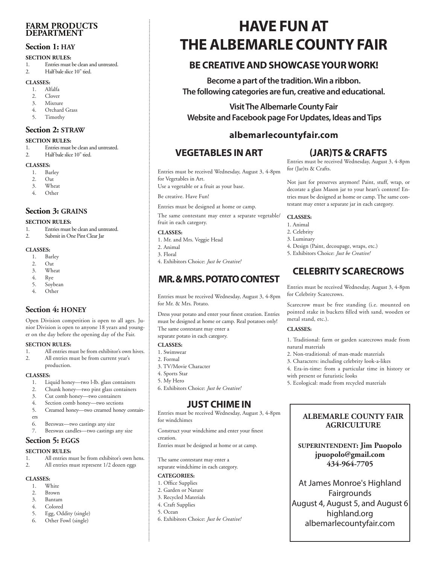#### **FARM PRODUCTS DEPARTMENT**

#### **Section 1: HAY**

#### **SECTION RULES:**

- 1. Entries must be clean and untreated.
- 2. Half bale slice 10" tied.

#### **CLASSES:**

- 1. Alfalfa
- 2. Clover
- 3. Mixture
- 4. Orchard Grass
- 5. Timothy

#### **Section 2: STRAW**

#### **SECTION RULES:**

- 1. Entries must be clean and untreated.
- 2. Half bale slice 10" tied.

#### **CLASSES:**

- 1. Barley
- 2. Oat
- 3. Wheat
- 4. Other

### **Section 3: GRAINS**

#### **SECTION RULES:**

- 1. Entries must be clean and untreated.<br>2 Submit in One Pint Clear Iar
- Submit in One Pint Clear Jar

#### **CLASSES:**

- 1. Barley
- 
- 2. Oat<br>3. Whe Wheat
- 4. Rye
- 5. Soybean
- 4. Other

## **Section 4: HONEY**

Open Division competition is open to all ages. Junior Division is open to anyone 18 years and younger on the day before the opening day of the Fair.

#### **SECTION RULES:**

- 1. All entries must be from exhibitor's own hives.
- 2. All entries must be from current year's
- production.

#### **CLASSES:**

- 1. Liquid honey—two l-lb. glass containers
- 2. Chunk honey—two pint glass containers
- 3. Cut comb honey—two containers
- 4. Section comb honey—two sections
- 5. Creamed honey—two creamed honey contain-
- ers
- 6. Beeswax—two castings any size
- 7. Beeswax candles—two castings any size

## **Section 5: EGGS**

#### **SECTION RULES:**

- 1. All entries must be from exhibitor's own hens.<br>2. All entries must represent 1/2 dozen eggs.
- All entries must represent 1/2 dozen eggs

#### **CLASSES:**

- 1. White
- 2. Brown
- 3. Bantam
- 4. Colored
- 5. Egg, Oddity (single)
- 6. Other Fowl (single)

# **HAVE FUN AT THE ALBEMARLE COUNTY FAIR**

# **BE CREATIVE AND SHOWCASE YOUR WORK!**

**Become a part of the tradition. Win a ribbon. The following categories are fun, creative and educational.** 

**Visit The Albemarle County Fair Website and Facebook page For Updates, Ideas and Tips**

# **albemarlecountyfair.com**

**CLASSES:**  1. Animal 2. Celebrity 3. Luminary

# **VEGETABLES IN ART**

Entries must be received Wednesday, August 3, 4-8pm for Vegetables in Art.

Use a vegetable or a fruit as your base.

Be creative. Have Fun!

Entries must be designed at home or camp.

The same contestant may enter a separate vegetable/ fruit in each category.

#### **CLASSES:**

- 1. Mr. and Mrs. Veggie Head
- 2. Animal
- 3. Floral
- 4. Exhibitors Choice: *Just be Creative!*

# **MR. & MRS. POTATO CONTEST**

Entries must be received Wednesday, August 3, 4-8pm for Mr. & Mrs. Potato.

Dress your potato and enter your finest creation. Entries must be designed at home or camp. Real potatoes only! The same contestant may enter a separate potato in each category.

#### **CLASSES:**

- 1. Swimwear
- 2. Formal
- 3. TV/Movie Character
- 4. Sports Star
- 5. My Hero
- 6. Exhibitors Choice: *Just be Creative!*

## **JUST CHIME IN**

Entries must be received Wednesday, August 3, 4-8pm for windchimes

Construct your windchime and enter your finest creation.

Entries must be designed at home or at camp.

The same contestant may enter a

separate windchime in each category.

#### **CATEGORIES:**

- 1. Office Supplies
- 2. Garden or Nature
- 3. Recycled Materials
- 4. Craft Supplies
- 5. Ocean
- 6. Exhibitors Choice: *Just be Creative!*

## **(JAR)TS & CRAFTS**

Entries must be received Wednesday, August 3, 4-8pm for (Jar)ts & Crafts.

Not just for preserves anymore! Paint, stuff, wrap, or decorate a glass Mason jar to your heart's content! Entries must be designed at home or camp. The same contestant may enter a separate jar in each category.

**CELEBRITY SCARECROWS** 

Entries must be received Wednesday, August 3, 4-8pm

Scarecrow must be free standing (i.e. mounted on pointed stake in buckets filled with sand, wooden or

1. Traditional: farm or garden scarecrows made from

2. Non-traditional: of man-made materials 3. Characters: including celebrity look-a-likes 4. Era-in-time: from a particular time in history or

5. Ecological: made from recycled materials

with present or futuristic looks

4. Design (Paint, decoupage, wraps, etc.) 5. Exhibitors Choice: *Just be Creative!*

for Celebrity Scarecrows.

metal stand, etc.). **CLASSES:** 

natural materials

**ALBEMARLE COUNTY FAIR AGRICULTURE** 

**SUPERINTENDENT: Jim Puopolo jpuopolo@gmail.com 434-964-7705**

At James Monroe's Highland Fairgrounds August 4, August 5, and August 6 highland.org albemarlecountyfair.com